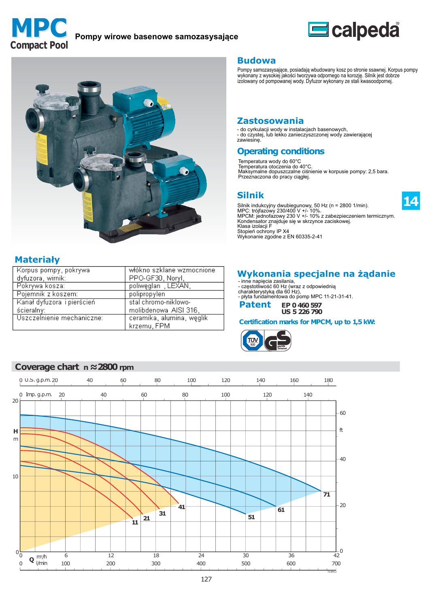



14



## **Materiały**

20

 $\overline{H}$  $m$ 

10

| - Korpus pompy, pokrywa    | włókno szklane wzmocnione |
|----------------------------|---------------------------|
| dyfuzora, wirnik:          | PPO-GF30, Noryl,          |
| Pokrywa kosza:             | poliwęglan, LEXAN,        |
| Pojemnik z koszem:         | polipropylen              |
| Kanał dyfuzora i pierścień | stal chromo-niklowo-      |
| ścieralny:                 | molibdenowa AISI 316,     |
| Uszczelnienie mechaniczne: | ceramika, alumina, weglik |
|                            | krzemu, FPM               |

#### **Budowa**

Pompy samozasysające, posiadają wbudowany kosz po stronie ssawnej. Korpus pompy<br>wykonany z wysokiej jakości tworzywa odpornego na korozję. Silnik jest dobrze<br>izolowany od pompowanej wody. Dyfuzor wykonany ze stali kwasoodp

#### **Zastosowania**

- do cyrkulacji wody w instalacjach basenowych, - do czystej, lub lekko zanieczyszczonej wody zawierającej<br>zawiesinę.

# **Operating conditions**

Temperatura wody do 60°C<br>Temperatura otoczenia do 40°C.<br>Maksymalne dopuszczalne ciśnienie w korpusie pompy: 2,5 bara. Przeznaczona do pracy ciągłej.

## **Silnik**

Silnik indukcyjny dwubiegunowy, 50 Hz (n = 2800 1/min).<br>MPC: trójfazowy 230/400 V +/- 10%.<br>MPCM: jednofazowy 230 V +/- 10% z zabezpieczeniem termicznym.<br>Kondensator znajduje się w skrzynce zaciskowej.<br>Klone izologii E Klasa izolacji F Stopień ochrony IP X4 Wykonanie zgodne z EN 60335-2-41

## Wykonania specjalne na żądanie

- inne napięcia zasilania, - częstotliwość 60 Hz (wraz z odpowiednią<br>charakterystyką dla 60 Hz), - plyta fundamentowa do pomp MPC 11-21-31-41.

**Patent** EP 0 460 597 **US 5 226 790** 

Certification marks for MPCM, up to 1,5 kW:

 $-60$ 

 $f$ 

40

 $-20$ 

 $\Omega$ 



#### 0 U.S. g.p.m. 20 40 60 80 100 120 140 160 180 80 100  $\mathsf{O}\xspace$ Imp. g.p.m. 20 40 60 120 140  $\overline{71}$  $\blacktriangleleft$  $61$ 31 51  $21$ Ĭ1  $0\frac{L}{0}$ **Q**  $\frac{m^3}{h}$ 6  $12$ 18 24 30 36  $\overline{42}$  $\Omega$  $100$  $200$  $300$  $400$ 500  $700$ 600  $\frac{1}{59.2}$ 127

## Coverage chart  $n \approx 2800$  rpm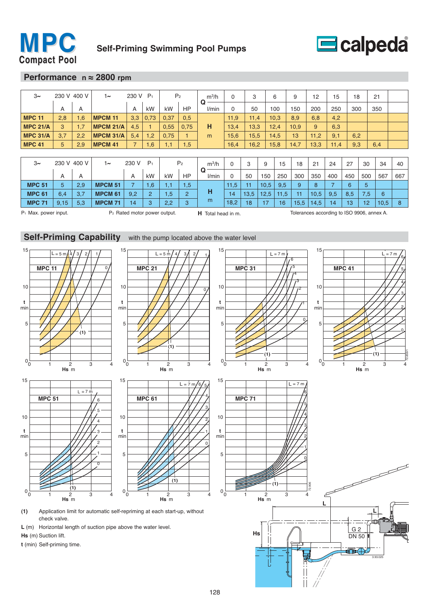



#### **Performance n ≈ 2800 rpm**

| $3\sim$         | 230 V 400 V |     | 230 V P <sub>1</sub><br>$1\sim$    |                |                | P <sub>2</sub> |           | $m^3/h$    | $\Omega$ | 3    |      | 6    | 9    | 12   | 15   | 18  |     | 21  |     |
|-----------------|-------------|-----|------------------------------------|----------------|----------------|----------------|-----------|------------|----------|------|------|------|------|------|------|-----|-----|-----|-----|
|                 | A           | A   |                                    | A              | kW             | kW             | HP        | Q<br>l/min | 0        | 50   |      | 100  | 150  | 200  | 250  | 300 |     | 350 |     |
| <b>MPC 11</b>   | 2,8         | 1,6 | <b>MPCM 11</b>                     | 3,3            | 0,73           | 0,37           | 0,5       |            | 11,9     | 11,4 |      | 10,3 | 8,9  | 6,8  | 4,2  |     |     |     |     |
| <b>MPC 21/A</b> | 3           | 1,7 | <b>MPCM 21/A</b>                   | 4,5            |                | 0,55           | 0,75      | н          | 13,4     | 13,3 |      | 12,4 | 10.9 | 9    | 6,3  |     |     |     |     |
| <b>MPC 31/A</b> | 3.7         | 2,2 | <b>MPCM 31/A</b>                   | 5.4            | 1,2            | 0.75           |           | m          | 15,6     | 15,5 |      | 14,5 | 13   | 11.2 | 9,1  | 6,2 |     |     |     |
| <b>MPC 41</b>   | 5           | 2,9 | <b>MPCM 41</b>                     | $\overline{7}$ | 1,6            | 1,1            | .5        |            | 16,4     | 16,2 |      | 15,8 | 14,7 | 13,3 | 11,4 | 9,3 |     | 6,4 |     |
|                 |             |     |                                    |                |                |                |           |            |          |      |      |      |      |      |      |     |     |     |     |
| $3\sim$         | 230 V 400 V |     | P <sub>1</sub><br>230 V<br>$1\sim$ |                | P <sub>2</sub> |                | $m^3/h$   | $\Omega$   | 3        | 9    | 15   | 18   | 21   | 24   | 27   | 30  | 34  | 40  |     |
|                 | A           | A   |                                    | A              | kW             | kW             | <b>HP</b> | Q<br>l/min | $\Omega$ | 50   | 150  | 250  | 300  | 350  | 400  | 450 | 500 | 567 | 667 |
| <b>MPC 51</b>   | 5           | 2,9 | <b>MPCM 51</b>                     | ⇁              | 1,6            | 1,1            | .5        |            | 11,5     | 11   | 10,5 | 9,5  | 9    | 8    | 7    | 6   | 5   |     |     |

**MPC 71** 9,15 5,3 **MPCM 71** 14 3 2,2 3 <sup>m</sup> 18,2 18 17 16 15,5 14,5 14 13 12 10,5 8

**MPC 61** 6,4 3,7 **MPCM 61** 9,2 2 1,5 2 **H** 14 13,5 12,5 11,5 11 10,5 9,5 8,5 7,5 6

P<sub>1</sub> Max. power input. P<sub>2</sub> Rated motor power output. **H** Total head in m. Tolerances according to ISO 9906, annex A.



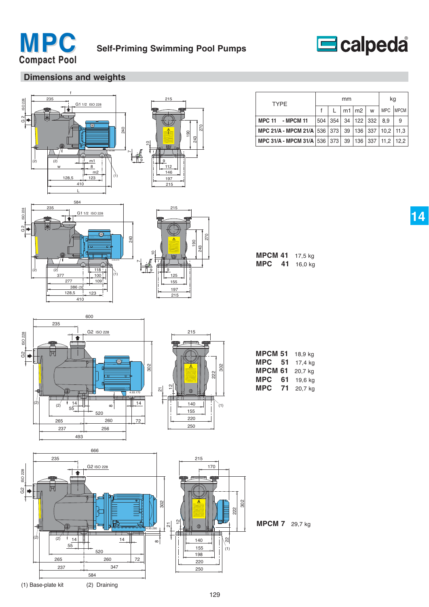



# **Dimensions and weights**